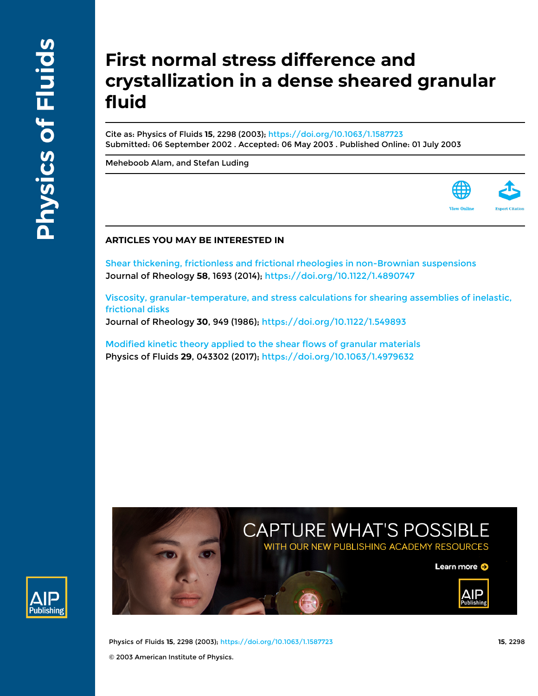Publishing

# **First normal stress difference and crystallization in a dense sheared granular fluid**

Cite as: Physics of Fluids **15**, 2298 (2003);<https://doi.org/10.1063/1.1587723> Submitted: 06 September 2002 . Accepted: 06 May 2003 . Published Online: 01 July 2003

[Meheboob Alam,](https://aip.scitation.org/author/Alam%2C+Meheboob) and [Stefan Luding](https://aip.scitation.org/author/Luding%2C+Stefan)



[Shear thickening, frictionless and frictional rheologies in non-Brownian suspensions](https://aip.scitation.org/doi/10.1122/1.4890747) Journal of Rheology **58**, 1693 (2014); <https://doi.org/10.1122/1.4890747>

[Viscosity, granular-temperature, and stress calculations for shearing assemblies of inelastic,](https://aip.scitation.org/doi/10.1122/1.549893) [frictional disks](https://aip.scitation.org/doi/10.1122/1.549893)

Journal of Rheology **30**, 949 (1986);<https://doi.org/10.1122/1.549893>

[Modified kinetic theory applied to the shear flows of granular materials](https://aip.scitation.org/doi/10.1063/1.4979632) Physics of Fluids **29**, 043302 (2017);<https://doi.org/10.1063/1.4979632>



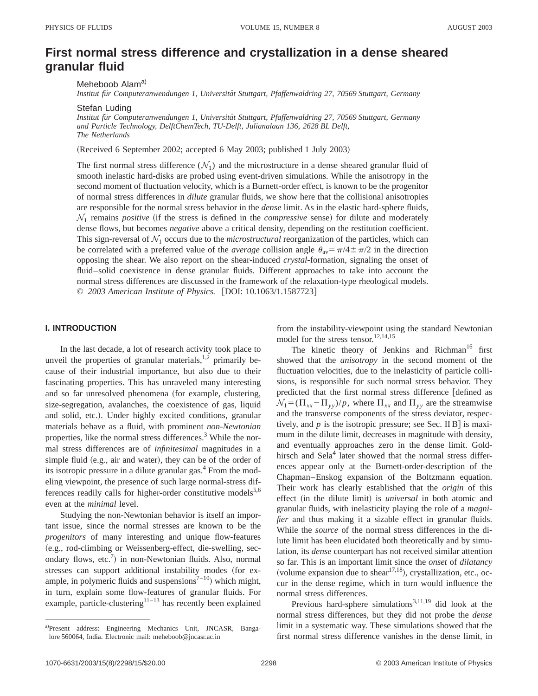# **First normal stress difference and crystallization in a dense sheared granular fluid**

Meheboob Alam<sup>a)</sup>

*Institut fu¨r Computeranwendungen 1, Universita¨t Stuttgart, Pfaffenwaldring 27, 70569 Stuttgart, Germany*

Stefan Luding

*Institut fu¨r Computeranwendungen 1, Universita¨t Stuttgart, Pfaffenwaldring 27, 70569 Stuttgart, Germany and Particle Technology, DelftChemTech, TU-Delft, Julianalaan 136, 2628 BL Delft, The Netherlands*

(Received 6 September 2002; accepted 6 May 2003; published 1 July 2003)

The first normal stress difference  $(\mathcal{N}_1)$  and the microstructure in a dense sheared granular fluid of smooth inelastic hard-disks are probed using event-driven simulations. While the anisotropy in the second moment of fluctuation velocity, which is a Burnett-order effect, is known to be the progenitor of normal stress differences in *dilute* granular fluids, we show here that the collisional anisotropies are responsible for the normal stress behavior in the *dense* limit. As in the elastic hard-sphere fluids,  $\mathcal{N}_1$  remains *positive* (if the stress is defined in the *compressive* sense) for dilute and moderately dense flows, but becomes *negative* above a critical density, depending on the restitution coefficient. This sign-reversal of  $\mathcal{N}_1$  occurs due to the *microstructural* reorganization of the particles, which can be correlated with a preferred value of the *average* collision angle  $\theta_{av} = \pi/4 \pm \pi/2$  in the direction opposing the shear. We also report on the shear-induced *crystal*-formation, signaling the onset of fluid–solid coexistence in dense granular fluids. Different approaches to take into account the normal stress differences are discussed in the framework of the relaxation-type rheological models. © *2003 American Institute of Physics.* [DOI: 10.1063/1.1587723]

# **I. INTRODUCTION**

In the last decade, a lot of research activity took place to unveil the properties of granular materials, $^{1,2}$  primarily because of their industrial importance, but also due to their fascinating properties. This has unraveled many interesting and so far unresolved phenomena (for example, clustering, size-segregation, avalanches, the coexistence of gas, liquid and solid, etc.). Under highly excited conditions, granular materials behave as a fluid, with prominent *non-Newtonian* properties, like the normal stress differences.<sup>3</sup> While the normal stress differences are of *infinitesimal* magnitudes in a simple fluid (e.g., air and water), they can be of the order of its isotropic pressure in a dilute granular gas. $4$  From the modeling viewpoint, the presence of such large normal-stress differences readily calls for higher-order constitutive models $5,6$ even at the *minimal* level.

Studying the non-Newtonian behavior is itself an important issue, since the normal stresses are known to be the *progenitors* of many interesting and unique flow-features (e.g., rod-climbing or Weissenberg-effect, die-swelling, secondary flows, etc.<sup>7</sup>) in non-Newtonian fluids. Also, normal stresses can support additional instability modes (for example, in polymeric fluids and suspensions<sup> $7-10$ </sup>) which might, in turn, explain some flow-features of granular fluids. For example, particle-clustering $11-13$  has recently been explained from the instability-viewpoint using the standard Newtonian model for the stress tensor.12,14,15

The kinetic theory of Jenkins and Richman<sup>16</sup> first showed that the *anisotropy* in the second moment of the fluctuation velocities, due to the inelasticity of particle collisions, is responsible for such normal stress behavior. They predicted that the first normal stress difference [defined as  $\mathcal{N}_1 = (\Pi_{xx} - \Pi_{yy})/p$ , where  $\Pi_{xx}$  and  $\Pi_{yy}$  are the streamwise and the transverse components of the stress deviator, respectively, and  $p$  is the isotropic pressure; see Sec. II B is maximum in the dilute limit, decreases in magnitude with density, and eventually approaches zero in the dense limit. Goldhirsch and  $\text{Sela}^4$  later showed that the normal stress differences appear only at the Burnett-order-description of the Chapman–Enskog expansion of the Boltzmann equation. Their work has clearly established that the *origin* of this effect (in the dilute limit) is *universal* in both atomic and granular fluids, with inelasticity playing the role of a *magnifier* and thus making it a sizable effect in granular fluids. While the *source* of the normal stress differences in the dilute limit has been elucidated both theoretically and by simulation, its *dense* counterpart has not received similar attention so far. This is an important limit since the *onset* of *dilatancy* (volume expansion due to shear<sup>17,18</sup>), crystallization, etc., occur in the dense regime, which in turn would influence the normal stress differences.

Previous hard-sphere simulations<sup>3,11,19</sup> did look at the normal stress differences, but they did not probe the *dense* limit in a systematic way. These simulations showed that the first normal stress difference vanishes in the dense limit, in

a)Present address: Engineering Mechanics Unit, JNCASR, Bangalore 560064, India. Electronic mail: meheboob@jncasr.ac.in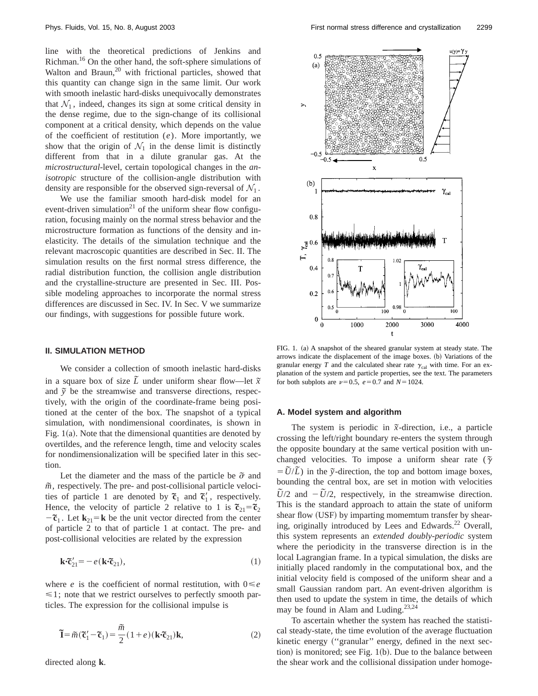line with the theoretical predictions of Jenkins and Richman.16 On the other hand, the soft-sphere simulations of Walton and Braun, $20$  with frictional particles, showed that this quantity can change sign in the same limit. Our work with smooth inelastic hard-disks unequivocally demonstrates that  $\mathcal{N}_1$ , indeed, changes its sign at some critical density in the dense regime, due to the sign-change of its collisional component at a critical density, which depends on the value of the coefficient of restitution (*e*). More importantly, we show that the origin of  $\mathcal{N}_1$  in the dense limit is distinctly different from that in a dilute granular gas. At the *microstructural*-level, certain topological changes in the *anisotropic* structure of the collision-angle distribution with density are responsible for the observed sign-reversal of  $\mathcal{N}_1$ .

We use the familiar smooth hard-disk model for an event-driven simulation<sup>21</sup> of the uniform shear flow configuration, focusing mainly on the normal stress behavior and the microstructure formation as functions of the density and inelasticity. The details of the simulation technique and the relevant macroscopic quantities are described in Sec. II. The simulation results on the first normal stress difference, the radial distribution function, the collision angle distribution and the crystalline-structure are presented in Sec. III. Possible modeling approaches to incorporate the normal stress differences are discussed in Sec. IV. In Sec. V we summarize our findings, with suggestions for possible future work.

# **II. SIMULATION METHOD**

We consider a collection of smooth inelastic hard-disks in a square box of size  $\tilde{L}$  under uniform shear flow—let  $\tilde{x}$ and  $\tilde{y}$  be the streamwise and transverse directions, respectively, with the origin of the coordinate-frame being positioned at the center of the box. The snapshot of a typical simulation, with nondimensional coordinates, is shown in Fig.  $1(a)$ . Note that the dimensional quantities are denoted by overtildes, and the reference length, time and velocity scales for nondimensionalization will be specified later in this section.

Let the diameter and the mass of the particle be  $\tilde{\sigma}$  and  $\tilde{m}$ , respectively. The pre- and post-collisional particle velocities of particle 1 are denoted by  $\tilde{\mathfrak{c}}_1$  and  $\tilde{\mathfrak{c}}_1'$ , respectively. Hence, the velocity of particle 2 relative to 1 is  $\tilde{\mathfrak{c}}_{21} = \tilde{\mathfrak{c}}_2$  $-\tilde{\mathbf{c}}_1$ . Let  $\mathbf{k}_{21} = \mathbf{k}$  be the unit vector directed from the center of particle 2 to that of particle 1 at contact. The pre- and post-collisional velocities are related by the expression

$$
\mathbf{k} \cdot \widetilde{\mathbf{c}}_{21}' = -e(\mathbf{k} \cdot \widetilde{\mathbf{c}}_{21}),\tag{1}
$$

where *e* is the coefficient of normal restitution, with  $0 \leq e$  $\leq 1$ ; note that we restrict ourselves to perfectly smooth particles. The expression for the collisional impulse is

$$
\widetilde{\mathbf{I}} = \widetilde{m}(\widetilde{\mathbf{c}}_1' - \widetilde{\mathbf{c}}_1) = \frac{\widetilde{m}}{2} (1 + e)(\mathbf{k} \cdot \widetilde{\mathbf{c}}_{21}) \mathbf{k},\tag{2}
$$

directed along **k**.



FIG. 1. (a) A snapshot of the sheared granular system at steady state. The arrows indicate the displacement of the image boxes. (b) Variations of the granular energy  $T$  and the calculated shear rate  $\gamma_{\text{cal}}$  with time. For an explanation of the system and particle properties, see the text. The parameters for both subplots are  $\nu$ =0.5,  $e$ =0.7 and *N*=1024.

#### **A. Model system and algorithm**

The system is periodic in  $\tilde{x}$ -direction, i.e., a particle crossing the left/right boundary re-enters the system through the opposite boundary at the same vertical position with unchanged velocities. To impose a uniform shear rate ( $\tilde{\gamma}$ )  $= \tilde{U}/\tilde{L}$ ) in the  $\tilde{y}$ -direction, the top and bottom image boxes, bounding the central box, are set in motion with velocities  $\tilde{U}/2$  and  $-\tilde{U}/2$ , respectively, in the streamwise direction. This is the standard approach to attain the state of uniform shear flow (USF) by imparting momemtum transfer by shearing, originally introduced by Lees and Edwards.<sup>22</sup> Overall, this system represents an *extended doubly-periodic* system where the periodicity in the transverse direction is in the local Lagrangian frame. In a typical simulation, the disks are initially placed randomly in the computational box, and the initial velocity field is composed of the uniform shear and a small Gaussian random part. An event-driven algorithm is then used to update the system in time, the details of which may be found in Alam and Luding.<sup>23,24</sup>

To ascertain whether the system has reached the statistical steady-state, the time evolution of the average fluctuation kinetic energy ("granular" energy, defined in the next section) is monitored; see Fig.  $1(b)$ . Due to the balance between the shear work and the collisional dissipation under homoge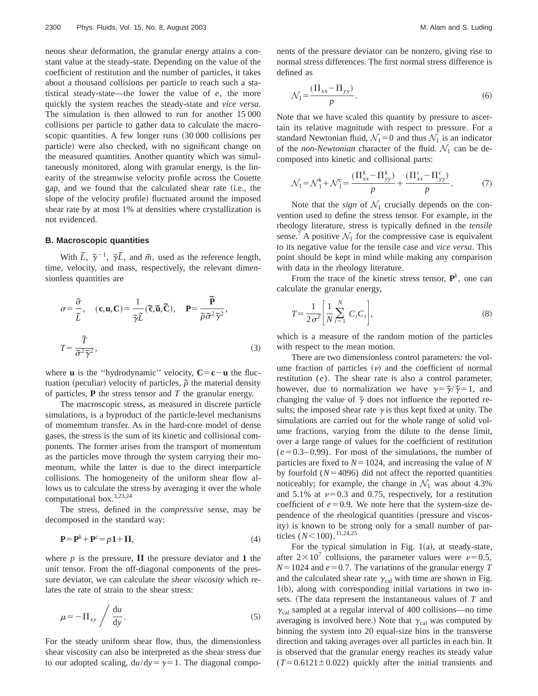neous shear deformation, the granular energy attains a constant value at the steady-state. Depending on the value of the coefficient of restitution and the number of particles, it takes about a thousand collisions per particle to reach such a statistical steady-state—the lower the value of *e*, the more quickly the system reaches the steady-state and *vice versa*. The simulation is then allowed to run for another 15 000 collisions per particle to gather data to calculate the macroscopic quantities. A few longer runs  $(30 000 00)$  collisions per particle) were also checked, with no significant change on the measured quantities. Another quantity which was simultaneously monitored, along with granular energy, is the linearity of the streamwise velocity profile across the Couette gap, and we found that the calculated shear rate (i.e., the slope of the velocity profile) fluctuated around the imposed shear rate by at most 1% at densities where crystallization is not evidenced.

# **B. Macroscopic quantities**

With  $\tilde{L}$ ,  $\tilde{\gamma}^{-1}$ ,  $\tilde{\gamma}\tilde{L}$ , and  $\tilde{m}$ , used as the reference length, time, velocity, and mass, respectively, the relevant dimensionless quantities are

$$
\sigma = \frac{\tilde{\sigma}}{\tilde{L}}, \quad (\mathbf{c}, \mathbf{u}, \mathbf{C}) = \frac{1}{\tilde{\gamma} \tilde{L}} (\tilde{\mathbf{c}}, \tilde{\mathbf{u}}, \tilde{\mathbf{C}}), \quad \mathbf{P} = \frac{\tilde{\mathbf{P}}}{\tilde{\rho} \tilde{\sigma}^2 \tilde{\gamma}^2},
$$

$$
T = \frac{\tilde{T}}{\tilde{\sigma}^2 \tilde{\gamma}^2}, \tag{3}
$$

where **u** is the "hydrodynamic" velocity,  $C = c - u$  the fluctuation (peculiar) velocity of particles,  $\tilde{\rho}$  the material density of particles, **P** the stress tensor and *T* the granular energy.

The macroscopic stress, as measured in discrete particle simulations, is a byproduct of the particle-level mechanisms of momemtum transfer. As in the hard-core model of dense gases, the stress is the sum of its kinetic and collisional components. The former arises from the transport of momentum as the particles move through the system carrying their momentum, while the latter is due to the direct interparticle collisions. The homogeneity of the uniform shear flow allows us to calculate the stress by averaging it over the whole computational box.<sup>3,23,24</sup>

The stress, defined in the *compressive* sense, may be decomposed in the standard way:

$$
\mathbf{P} = \mathbf{P}^k + \mathbf{P}^c = p\mathbf{1} + \mathbf{\Pi},\tag{4}
$$

where *p* is the pressure,  $\Pi$  the pressure deviator and 1 the unit tensor. From the off-diagonal components of the pressure deviator, we can calculate the *shear viscosity* which relates the rate of strain to the shear stress:

$$
\mu = -\Pi_{xy} / \frac{du}{dy}.
$$
\n(5)

For the steady uniform shear flow, thus, the dimensionless shear viscosity can also be interpreted as the shear stress due to our adopted scaling,  $du/dy = \gamma = 1$ . The diagonal components of the pressure deviator can be nonzero, giving rise to normal stress differences. The first normal stress difference is defined as

$$
\mathcal{N}_1 = \frac{(\Pi_{xx} - \Pi_{yy})}{p}.
$$
\n<sup>(6)</sup>

Note that we have scaled this quantity by pressure to ascertain its relative magnitude with respect to pressure. For a standard Newtonian fluid,  $\mathcal{N}_1=0$  and thus  $\mathcal{N}_1$  is an indicator of the *non-Newtonian* character of the fluid.  $\mathcal{N}_1$  can be decomposed into kinetic and collisional parts:

$$
\mathcal{N}_1 = \mathcal{N}_1^k + \mathcal{N}_1^c = \frac{(\Pi_{xx}^k - \Pi_{yy}^k)}{p} + \frac{(\Pi_{xx}^c - \Pi_{yy}^c)}{p}.
$$
 (7)

Note that the *sign* of  $\mathcal{N}_1$  crucially depends on the convention used to define the stress tensor. For example, in the rheology literature, stress is typically defined in the *tensile* sense.<sup>7</sup> A positive  $\mathcal{N}_1$  for the compressive case is equivalent to its negative value for the tensile case and *vice versa*. This point should be kept in mind while making any comparison with data in the rheology literature.

From the trace of the kinetic stress tensor,  $\mathbf{P}^k$ , one can calculate the granular energy,

$$
T = \frac{1}{2\sigma^2} \left[ \frac{1}{N} \sum_{i=1}^{N} C_i C_i \right],
$$
 (8)

which is a measure of the random motion of the particles with respect to the mean motion.

There are two dimensionless control parameters: the volume fraction of particles  $(v)$  and the coefficient of normal restitution (*e*). The shear rate is also a control parameter, however, due to normalization we have  $\gamma = \frac{\tilde{\gamma}}{\tilde{\gamma}} = 1$ , and changing the value of  $\tilde{\gamma}$  does not influence the reported results; the imposed shear rate  $\gamma$  is thus kept fixed at unity. The simulations are carried out for the whole range of solid volume fractions, varying from the dilute to the dense limit, over a large range of values for the coefficient of restitution  $(e=0.3-0.99)$ . For most of the simulations, the number of particles are fixed to  $N=1024$ , and increasing the value of  $N$ by fourfold  $(N=4096)$  did not affect the reported quantities noticeably; for example, the change in  $\mathcal{N}_1$  was about 4.3% and 5.1% at  $\nu$ =0.3 and 0.75, respectively, for a restitution coefficient of  $e=0.9$ . We note here that the system-size dependence of the rheological quantities (pressure and viscosity) is known to be strong only for a small number of particles ( $N$ <100).<sup>11,24,25</sup>

For the typical simulation in Fig.  $1(a)$ , at steady-state, after  $2\times10^7$  collisions, the parameter values were  $\nu=0.5$ ,  $N=1024$  and  $e=0.7$ . The variations of the granular energy *T* and the calculated shear rate  $\gamma_{\text{cal}}$  with time are shown in Fig.  $1(b)$ , along with corresponding initial variations in two insets. (The data represent the instantaneous values of *T* and  $\gamma_{\text{cal}}$  sampled at a regular interval of 400 collisions—no time averaging is involved here.) Note that  $\gamma_{\text{cal}}$  was computed by binning the system into 20 equal-size bins in the transverse direction and taking averages over all particles in each bin. It is observed that the granular energy reaches its steady value  $(T=0.6121\pm0.022)$  quickly after the initial transients and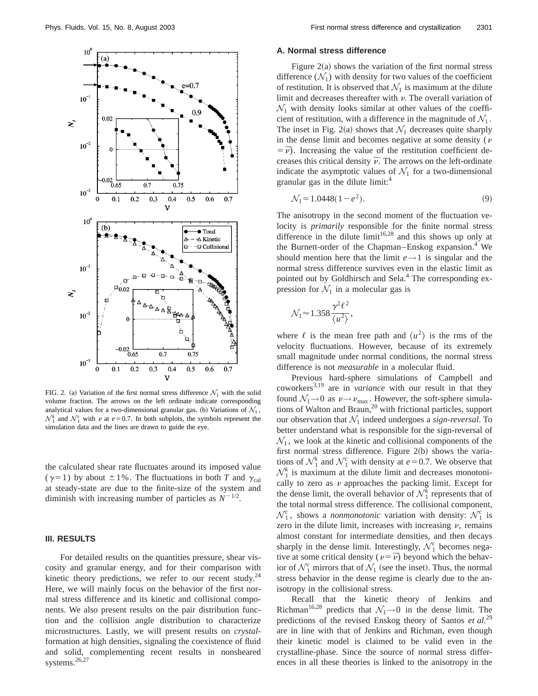

FIG. 2. (a) Variation of the first normal stress difference  $\mathcal{N}_1$  with the solid volume fraction. The arrows on the left ordinate indicate corresponding analytical values for a two-dimensional granular gas. (b) Variations of  $\mathcal{N}_1$ ,  $\mathcal{N}_1^k$  and  $\mathcal{N}_1^c$  with  $\nu$  at  $e=0.7$ . In both subplots, the symbols represent the simulation data and the lines are drawn to guide the eye.

the calculated shear rate fluctuates around its imposed value ( $\gamma$ =1) by about  $\pm 1$ %. The fluctuations in both *T* and  $\gamma_{\text{cal}}$ at steady-state are due to the finite-size of the system and diminish with increasing number of particles as  $N^{-1/2}$ .

# **III. RESULTS**

For detailed results on the quantities pressure, shear viscosity and granular energy, and for their comparison with kinetic theory predictions, we refer to our recent study.<sup>24</sup> Here, we will mainly focus on the behavior of the first normal stress difference and its kinetic and collisional components. We also present results on the pair distribution function and the collision angle distribution to characterize microstructures. Lastly, we will present results on *crystal*formation at high densities, signaling the coexistence of fluid and solid, complementing recent results in nonsheared systems.<sup>26,27</sup>

#### **A. Normal stress difference**

Figure  $2(a)$  shows the variation of the first normal stress difference  $(N_1)$  with density for two values of the coefficient of restitution. It is observed that  $\mathcal{N}_1$  is maximum at the dilute limit and decreases thereafter with  $\nu$ . The overall variation of  $\mathcal{N}_1$  with density looks similar at other values of the coefficient of restitution, with a difference in the magnitude of  $\mathcal{N}_1$ . The inset in Fig. 2(a) shows that  $\mathcal{N}_1$  decreases quite sharply in the dense limit and becomes negative at some density ( $\nu$ )  $=$  $\overline{v}$ ). Increasing the value of the restitution coefficient decreases this critical density  $\bar{\nu}$ . The arrows on the left-ordinate indicate the asymptotic values of  $\mathcal{N}_1$  for a two-dimensional granular gas in the dilute limit:<sup>4</sup>

$$
\mathcal{N}_1 = 1.0448(1 - e^2). \tag{9}
$$

The anisotropy in the second moment of the fluctuation velocity is *primarily* responsible for the finite normal stress difference in the dilute limit<sup>16,28</sup> and this shows up only at the Burnett-order of the Chapman–Enskog expansion.<sup>4</sup> We should mention here that the limit  $e \rightarrow 1$  is singular and the normal stress difference survives even in the elastic limit as pointed out by Goldhirsch and Sela.<sup>4</sup> The corresponding expression for  $\mathcal{N}_1$  in a molecular gas is

$$
\mathcal{N}_1 \approx 1.358 \frac{\gamma^2 \ell^2}{\langle u^2 \rangle},
$$

where  $\ell$  is the mean free path and  $\langle u^2 \rangle$  is the rms of the velocity fluctuations. However, because of its extremely small magnitude under normal conditions, the normal stress difference is not *measurable* in a molecular fluid.

Previous hard-sphere simulations of Campbell and coworkers3,19 are in *variance* with our result in that they found  $\mathcal{N}_1 \rightarrow 0$  as  $\nu \rightarrow \nu_{\text{max}}$ . However, the soft-sphere simulations of Walton and Braun,<sup>20</sup> with frictional particles, support our observation that  $\mathcal{N}_1$  indeed undergoes a *sign-reversal*. To better understand what is responsible for the sign-reversal of  $\mathcal{N}_1$ , we look at the kinetic and collisional components of the first normal stress difference. Figure  $2(b)$  shows the variations of  $\mathcal{N}_1^k$  and  $\mathcal{N}_1^c$  with density at  $e=0.7$ . We observe that  $\mathcal{N}_1^k$  is maximum at the dilute limit and decreases monotonically to zero as  $\nu$  approaches the packing limit. Except for the dense limit, the overall behavior of  $\mathcal{N}_1^k$  represents that of the total normal stress difference. The collisional component,  $\mathcal{N}_1^c$ , shows a *nonmonotonic* variation with density:  $\mathcal{N}_1^c$  is zero in the dilute limit, increases with increasing  $\nu$ , remains almost constant for intermediate densities, and then decays sharply in the dense limit. Interestingly,  $\mathcal{N}_1^c$  becomes negative at some critical density ( $\nu = \overline{\nu}$ ) beyond which the behavior of  $\mathcal{N}_1^c$  mirrors that of  $\mathcal{N}_1$  (see the inset). Thus, the normal stress behavior in the dense regime is clearly due to the anisotropy in the collisional stress.

Recall that the kinetic theory of Jenkins and Richman<sup>16,28</sup> predicts that  $\mathcal{N}_1 \rightarrow 0$  in the dense limit. The predictions of the revised Enskog theory of Santos *et al.*<sup>29</sup> are in line with that of Jenkins and Richman, even though their kinetic model is claimed to be valid even in the crystalline-phase. Since the source of normal stress differences in all these theories is linked to the anisotropy in the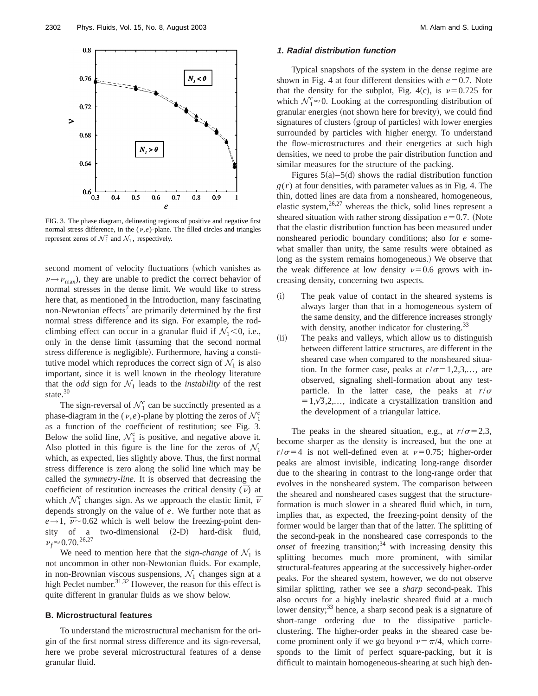

FIG. 3. The phase diagram, delineating regions of positive and negative first normal stress difference, in the  $(\nu,e)$ -plane. The filled circles and triangles represent zeros of  $\mathcal{N}_1^c$  and  $\mathcal{N}_1$ , respectively.

second moment of velocity fluctuations (which vanishes as  $\nu \rightarrow \nu_{\text{max}}$ , they are unable to predict the correct behavior of normal stresses in the dense limit. We would like to stress here that, as mentioned in the Introduction, many fascinating non-Newtonian effects<sup>7</sup> are primarily determined by the first normal stress difference and its sign. For example, the rodclimbing effect can occur in a granular fluid if  $\mathcal{N}_1$  < 0, i.e., only in the dense limit (assuming that the second normal stress difference is negligible). Furthermore, having a constitutive model which reproduces the correct sign of  $\mathcal{N}_1$  is also important, since it is well known in the rheology literature that the *odd* sign for  $\mathcal{N}_1$  leads to the *instability* of the rest state.<sup>30</sup>

The sign-reversal of  $\mathcal{N}_1^c$  can be succinctly presented as a phase-diagram in the  $(v,e)$ -plane by plotting the zeros of  $\mathcal{N}_1^c$ as a function of the coefficient of restitution; see Fig. 3. Below the solid line,  $\mathcal{N}_1^c$  is positive, and negative above it. Also plotted in this figure is the line for the zeros of  $\mathcal{N}_1$ which, as expected, lies slightly above. Thus, the first normal stress difference is zero along the solid line which may be called the *symmetry-line*. It is observed that decreasing the coefficient of restitution increases the critical density  $(\bar{v})$  at which  $\mathcal{N}_1^c$  changes sign. As we approach the elastic limit,  $\bar{\nu}$ depends strongly on the value of *e*. We further note that as  $e \rightarrow 1$ ,  $\bar{\nu} \sim 0.62$  which is well below the freezing-point den-<br>sity of a two-dimensional (2-D) hard-disk fluid, two-dimensional  $(2-D)$  hard-disk  $\nu_f \approx 0.70$ .<sup>26,27</sup>

We need to mention here that the *sign-change* of  $\mathcal{N}_1$  is not uncommon in other non-Newtonian fluids. For example, in non-Brownian viscous suspensions,  $\mathcal{N}_1$  changes sign at a high Peclet number.<sup>31,32</sup> However, the reason for this effect is quite different in granular fluids as we show below.

# **B. Microstructural features**

To understand the microstructural mechanism for the origin of the first normal stress difference and its sign-reversal, here we probe several microstructural features of a dense granular fluid.

#### **1. Radial distribution function**

Typical snapshots of the system in the dense regime are shown in Fig. 4 at four different densities with  $e=0.7$ . Note that the density for the subplot, Fig. 4(c), is  $\nu=0.725$  for which  $\mathcal{N}_1^c \approx 0$ . Looking at the corresponding distribution of granular energies (not shown here for brevity), we could find signatures of clusters (group of particles) with lower energies surrounded by particles with higher energy. To understand the flow-microstructures and their energetics at such high densities, we need to probe the pair distribution function and similar measures for the structure of the packing.

Figures  $5(a)$ – $5(d)$  shows the radial distribution function  $g(r)$  at four densities, with parameter values as in Fig. 4. The thin, dotted lines are data from a nonsheared, homogeneous, elastic system,  $26.27$  whereas the thick, solid lines represent a sheared situation with rather strong dissipation  $e=0.7$ . (Note that the elastic distribution function has been measured under nonsheared periodic boundary conditions; also for *e* somewhat smaller than unity, the same results were obtained as long as the system remains homogeneous.) We observe that the weak difference at low density  $\nu=0.6$  grows with increasing density, concerning two aspects.

- (i) The peak value of contact in the sheared systems is always larger than that in a homogeneous system of the same density, and the difference increases strongly with density, another indicator for clustering. $^{33}$
- (ii) The peaks and valleys, which allow us to distinguish between different lattice structures, are different in the sheared case when compared to the nonsheared situation. In the former case, peaks at  $r/\sigma=1,2,3,...$ , are observed, signaling shell-formation about any testparticle. In the latter case, the peaks at  $r/\sigma$  $=1,\sqrt{3},2,...,$  indicate a crystallization transition and the development of a triangular lattice.

The peaks in the sheared situation, e.g., at  $r/\sigma=2,3$ , become sharper as the density is increased, but the one at  $r/\sigma$ =4 is not well-defined even at  $\nu$ =0.75; higher-order peaks are almost invisible, indicating long-range disorder due to the shearing in contrast to the long-range order that evolves in the nonsheared system. The comparison between the sheared and nonsheared cases suggest that the structureformation is much slower in a sheared fluid which, in turn, implies that, as expected, the freezing-point density of the former would be larger than that of the latter. The splitting of the second-peak in the nonsheared case corresponds to the *onset* of freezing transition;<sup>34</sup> with increasing density this splitting becomes much more prominent, with similar structural-features appearing at the successively higher-order peaks. For the sheared system, however, we do not observe similar splitting, rather we see a *sharp* second-peak. This also occurs for a highly inelastic sheared fluid at a much lower density; $33$  hence, a sharp second peak is a signature of short-range ordering due to the dissipative particleclustering. The higher-order peaks in the sheared case become prominent only if we go beyond  $\nu = \pi/4$ , which corresponds to the limit of perfect square-packing, but it is difficult to maintain homogeneous-shearing at such high den-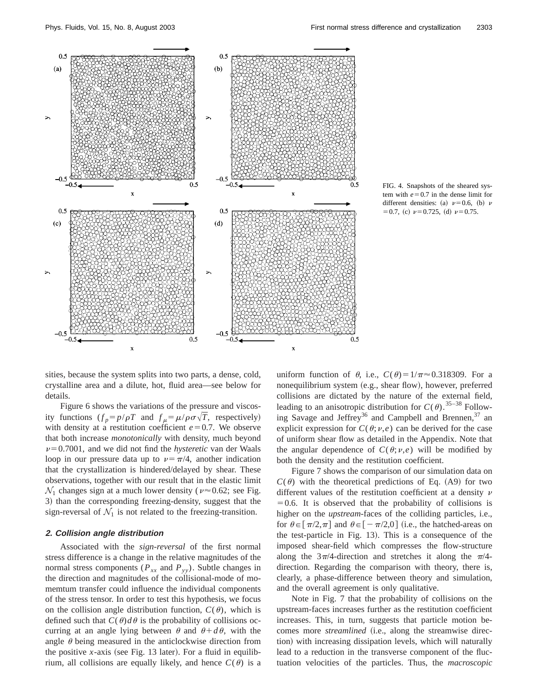



sities, because the system splits into two parts, a dense, cold, crystalline area and a dilute, hot, fluid area—see below for details.

Figure 6 shows the variations of the pressure and viscosity functions  $(f_p = p/\rho T$  and  $f_\mu = \mu/\rho \sigma \sqrt{T}$ , respectively) with density at a restitution coefficient  $e=0.7$ . We observe that both increase *monotonically* with density, much beyond  $\nu$ =0.7001, and we did not find the *hysteretic* van der Waals loop in our pressure data up to  $\nu = \pi/4$ , another indication that the crystallization is hindered/delayed by shear. These observations, together with our result that in the elastic limit  $\mathcal{N}_1$  changes sign at a much lower density ( $\nu \approx 0.62$ ; see Fig. 3) than the corresponding freezing-density, suggest that the sign-reversal of  $\mathcal{N}_1$  is not related to the freezing-transition.

# **2. Collision angle distribution**

Associated with the *sign-reversal* of the first normal stress difference is a change in the relative magnitudes of the normal stress components ( $P_{xx}$  and  $P_{yy}$ ). Subtle changes in the direction and magnitudes of the collisional-mode of momemtum transfer could influence the individual components of the stress tensor. In order to test this hypothesis, we focus on the collision angle distribution function,  $C(\theta)$ , which is defined such that  $C(\theta)d\theta$  is the probability of collisions occurring at an angle lying between  $\theta$  and  $\theta + d\theta$ , with the angle  $\theta$  being measured in the anticlockwise direction from the positive *x*-axis (see Fig. 13 later). For a fluid in equilibrium, all collisions are equally likely, and hence  $C(\theta)$  is a

uniform function of  $\theta$ , i.e.,  $C(\theta) = 1/\pi \approx 0.318309$ . For a nonequilibrium system (e.g., shear flow), however, preferred collisions are dictated by the nature of the external field, leading to an anisotropic distribution for  $C(\theta)$ .<sup>35–38</sup> Following Savage and Jeffrey<sup>36</sup> and Campbell and Brennen,  $37$  an explicit expression for  $C(\theta; \nu, e)$  can be derived for the case of uniform shear flow as detailed in the Appendix. Note that the angular dependence of  $C(\theta; \nu, e)$  will be modified by both the density and the restitution coefficient.

Figure 7 shows the comparison of our simulation data on  $C(\theta)$  with the theoretical predictions of Eq. (A9) for two different values of the restitution coefficient at a density  $\nu$  $=0.6$ . It is observed that the probability of collisions is higher on the *upstream*-faces of the colliding particles, i.e., for  $\theta \in [\pi/2, \pi]$  and  $\theta \in [-\pi/2, 0]$  (i.e., the hatched-areas on the test-particle in Fig.  $13$ ). This is a consequence of the imposed shear-field which compresses the flow-structure along the  $3\pi/4$ -direction and stretches it along the  $\pi/4$ direction. Regarding the comparison with theory, there is, clearly, a phase-difference between theory and simulation, and the overall agreement is only qualitative.

Note in Fig. 7 that the probability of collisions on the upstream-faces increases further as the restitution coefficient increases. This, in turn, suggests that particle motion becomes more *streamlined* (i.e., along the streamwise direction) with increasing dissipation levels, which will naturally lead to a reduction in the transverse component of the fluctuation velocities of the particles. Thus, the *macroscopic*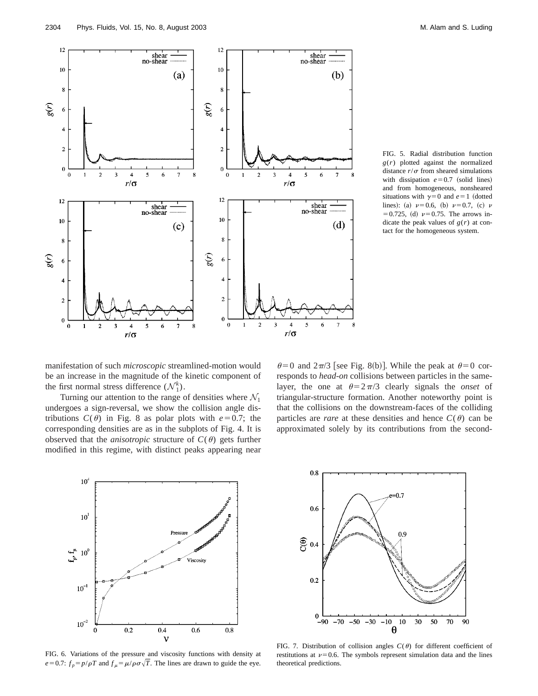

FIG. 5. Radial distribution function *g*(*r*) plotted against the normalized distance  $r/\sigma$  from sheared simulations with dissipation  $e=0.7$  (solid lines) and from homogeneous, nonsheared situations with  $\gamma=0$  and  $e=1$  (dotted lines): (a)  $\nu = 0.6$ , (b)  $\nu = 0.7$ , (c)  $\nu$  $=0.725$ , (d)  $\nu = 0.75$ . The arrows indicate the peak values of  $g(r)$  at contact for the homogeneous system.

manifestation of such *microscopic* streamlined-motion would be an increase in the magnitude of the kinetic component of the first normal stress difference  $(\mathcal{N}_1^k)$ .

Turning our attention to the range of densities where  $\mathcal{N}_1$ undergoes a sign-reversal, we show the collision angle distributions  $C(\theta)$  in Fig. 8 as polar plots with  $e=0.7$ ; the corresponding densities are as in the subplots of Fig. 4. It is observed that the *anisotropic* structure of  $C(\theta)$  gets further modified in this regime, with distinct peaks appearing near

 $\theta$ =0 and  $2\pi/3$  [see Fig. 8(b)]. While the peak at  $\theta$ =0 corresponds to *head-on* collisions between particles in the samelayer, the one at  $\theta = 2\pi/3$  clearly signals the *onset* of triangular-structure formation. Another noteworthy point is that the collisions on the downstream-faces of the colliding particles are *rare* at these densities and hence  $C(\theta)$  can be approximated solely by its contributions from the second-



FIG. 6. Variations of the pressure and viscosity functions with density at  $e=0.7$ :  $f_p = p/\rho T$  and  $f_\mu = \mu/\rho \sigma \sqrt{T}$ . The lines are drawn to guide the eye.



FIG. 7. Distribution of collision angles  $C(\theta)$  for different coefficient of restitutions at  $\nu=0.6$ . The symbols represent simulation data and the lines theoretical predictions.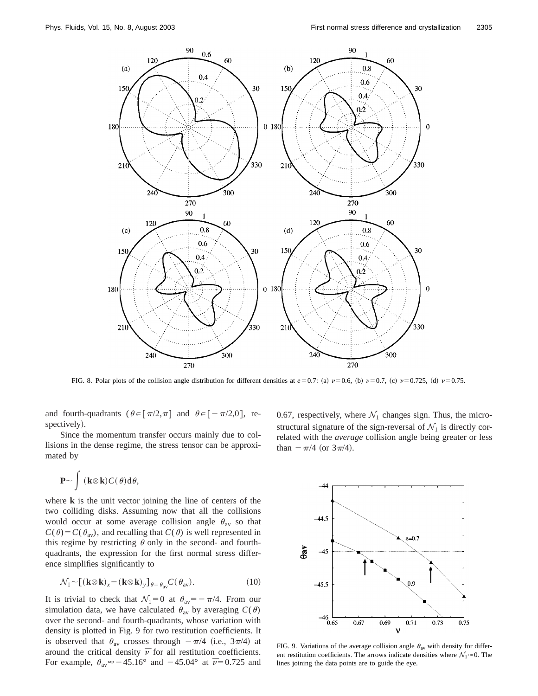

FIG. 8. Polar plots of the collision angle distribution for different densities at  $e=0.7$ : (a)  $\nu=0.6$ , (b)  $\nu=0.7$ , (c)  $\nu=0.725$ , (d)  $\nu=0.75$ .

and fourth-quadrants ( $\theta \in [\pi/2, \pi]$  and  $\theta \in [-\pi/2, 0]$ , respectively).

Since the momentum transfer occurs mainly due to collisions in the dense regime, the stress tensor can be approximated by

$$
\mathbf{P} \sim \int (\mathbf{k} \otimes \mathbf{k}) C(\theta) \mathrm{d} \theta,
$$

where **k** is the unit vector joining the line of centers of the two colliding disks. Assuming now that all the collisions would occur at some average collision angle  $\theta_{av}$  so that  $C(\theta) = C(\theta_{av})$ , and recalling that  $C(\theta)$  is well represented in this regime by restricting  $\theta$  only in the second- and fourthquadrants, the expression for the first normal stress difference simplifies significantly to

$$
\mathcal{N}_1 \sim [(\mathbf{k} \otimes \mathbf{k})_x - (\mathbf{k} \otimes \mathbf{k})_y]_{\theta = \theta_{\text{av}}} C(\theta_{\text{av}}).
$$
 (10)

It is trivial to check that  $\mathcal{N}_1=0$  at  $\theta_{av}=-\pi/4$ . From our simulation data, we have calculated  $\theta_{av}$  by averaging  $C(\theta)$ over the second- and fourth-quadrants, whose variation with density is plotted in Fig. 9 for two restitution coefficients. It is observed that  $\theta_{av}$  crosses through  $-\pi/4$  (i.e.,  $3\pi/4$ ) at around the critical density  $\bar{\nu}$  for all restitution coefficients. For example,  $\theta_{av} \approx -45.16^{\circ}$  and  $-45.04^{\circ}$  at  $\bar{\nu}=0.725$  and 0.67, respectively, where  $\mathcal{N}_1$  changes sign. Thus, the microstructural signature of the sign-reversal of  $\mathcal{N}_1$  is directly correlated with the *average* collision angle being greater or less than  $-\pi/4$  (or  $3\pi/4$ ).



FIG. 9. Variations of the average collision angle  $\theta_{av}$  with density for different restitution coefficients. The arrows indicate densities where  $\mathcal{N}_1 \approx 0$ . The lines joining the data points are to guide the eye.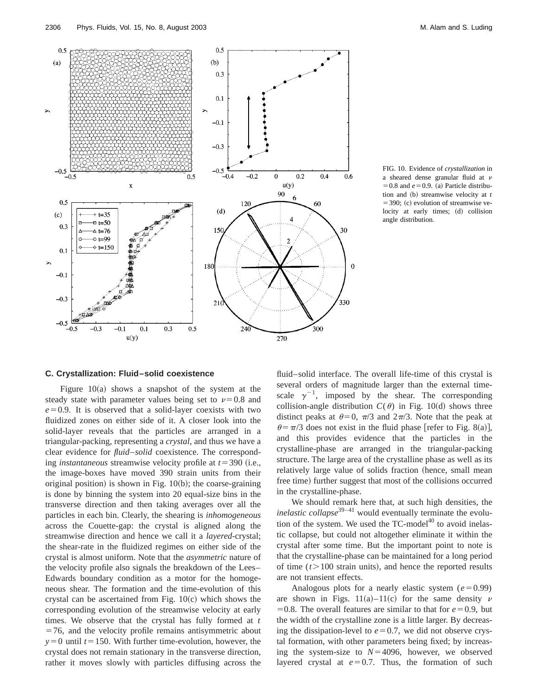

FIG. 10. Evidence of *crystallization* in a sheared dense granular fluid at  $\nu$  $=0.8$  and  $e=0.9$ . (a) Particle distribution and (b) streamwise velocity at *t*  $=$  390; (c) evolution of streamwise velocity at early times; (d) collision angle distribution.

#### **C. Crystallization: Fluid–solid coexistence**

Figure  $10(a)$  shows a snapshot of the system at the steady state with parameter values being set to  $\nu=0.8$  and  $e=0.9$ . It is observed that a solid-layer coexists with two fluidized zones on either side of it. A closer look into the solid-layer reveals that the particles are arranged in a triangular-packing, representing a *crystal*, and thus we have a clear evidence for *fluid*–*solid* coexistence. The corresponding *instantaneous* streamwise velocity profile at  $t = 390$  (i.e., the image-boxes have moved 390 strain units from their original position) is shown in Fig.  $10(b)$ ; the coarse-graining is done by binning the system into 20 equal-size bins in the transverse direction and then taking averages over all the particles in each bin. Clearly, the shearing is *inhomogeneous* across the Couette-gap: the crystal is aligned along the streamwise direction and hence we call it a *layered*-crystal; the shear-rate in the fluidized regimes on either side of the crystal is almost uniform. Note that the *asymmetric* nature of the velocity profile also signals the breakdown of the Lees– Edwards boundary condition as a motor for the homogeneous shear. The formation and the time-evolution of this crystal can be ascertained from Fig.  $10(c)$  which shows the corresponding evolution of the streamwise velocity at early times. We observe that the crystal has fully formed at *t*  $=76$ , and the velocity profile remains antisymmetric about  $y=0$  until  $t=150$ . With further time-evolution, however, the crystal does not remain stationary in the transverse direction, rather it moves slowly with particles diffusing across the fluid–solid interface. The overall life-time of this crystal is several orders of magnitude larger than the external timescale  $\gamma^{-1}$ , imposed by the shear. The corresponding collision-angle distribution  $C(\theta)$  in Fig. 10(d) shows three distinct peaks at  $\theta=0$ ,  $\pi/3$  and  $2\pi/3$ . Note that the peak at  $\theta = \pi/3$  does not exist in the fluid phase [refer to Fig. 8(a)], and this provides evidence that the particles in the crystalline-phase are arranged in the triangular-packing structure. The large area of the crystalline phase as well as its relatively large value of solids fraction (hence, small mean free time) further suggest that most of the collisions occurred in the crystalline-phase.

We should remark here that, at such high densities, the *inelastic collapse*<sup>39–41</sup> would eventually terminate the evolution of the system. We used the  $TC$ -model $40$  to avoid inelastic collapse, but could not altogether eliminate it within the crystal after some time. But the important point to note is that the crystalline-phase can be maintained for a long period of time  $(t>100$  strain units), and hence the reported results are not transient effects.

Analogous plots for a nearly elastic system  $(e=0.99)$ are shown in Figs. 11(a)–11(c) for the same density  $\nu$ =0.8. The overall features are similar to that for  $e=0.9$ , but the width of the crystalline zone is a little larger. By decreasing the dissipation-level to  $e=0.7$ , we did not observe crystal formation, with other parameters being fixed; by increasing the system-size to  $N=4096$ , however, we observed layered crystal at  $e=0.7$ . Thus, the formation of such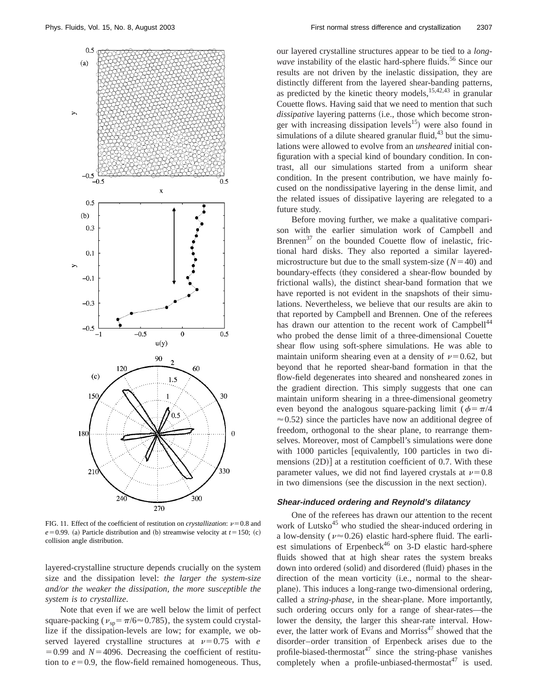

FIG. 11. Effect of the coefficient of restitution on *crystallization*:  $\nu$ =0.8 and  $e = 0.99$ . (a) Particle distribution and (b) streamwise velocity at  $t = 150$ ; (c) collision angle distribution.

layered-crystalline structure depends crucially on the system size and the dissipation level: *the larger the system-size and/or the weaker the dissipation, the more susceptible the system is to crystallize*.

Note that even if we are well below the limit of perfect square-packing ( $v_{\rm{sp}} = \pi/6 \approx 0.785$ ), the system could crystallize if the dissipation-levels are low; for example, we observed layered crystalline structures at  $\nu=0.75$  with *e*  $=0.99$  and  $N=4096$ . Decreasing the coefficient of restitution to  $e=0.9$ , the flow-field remained homogeneous. Thus, our layered crystalline structures appear to be tied to a *longwave* instability of the elastic hard-sphere fluids.<sup>56</sup> Since our results are not driven by the inelastic dissipation, they are distinctly different from the layered shear-banding patterns, as predicted by the kinetic theory models,  $15,42,43$  in granular Couette flows. Having said that we need to mention that such dissipative layering patterns (i.e., those which become stronger with increasing dissipation levels<sup>15</sup>) were also found in simulations of a dilute sheared granular fluid, $43$  but the simulations were allowed to evolve from an *unsheared* initial configuration with a special kind of boundary condition. In contrast, all our simulations started from a uniform shear condition. In the present contribution, we have mainly focused on the nondissipative layering in the dense limit, and the related issues of dissipative layering are relegated to a future study.

Before moving further, we make a qualitative comparison with the earlier simulation work of Campbell and Brennen $37$  on the bounded Couette flow of inelastic, frictional hard disks. They also reported a similar layeredmicrostructure but due to the small system-size  $(N=40)$  and boundary-effects (they considered a shear-flow bounded by frictional walls), the distinct shear-band formation that we have reported is not evident in the snapshots of their simulations. Nevertheless, we believe that our results are akin to that reported by Campbell and Brennen. One of the referees has drawn our attention to the recent work of Campbell<sup>44</sup> who probed the dense limit of a three-dimensional Couette shear flow using soft-sphere simulations. He was able to maintain uniform shearing even at a density of  $\nu=0.62$ , but beyond that he reported shear-band formation in that the flow-field degenerates into sheared and nonsheared zones in the gradient direction. This simply suggests that one can maintain uniform shearing in a three-dimensional geometry even beyond the analogous square-packing limit ( $\phi = \pi/4$  $\approx$  0.52) since the particles have now an additional degree of freedom, orthogonal to the shear plane, to rearrange themselves. Moreover, most of Campbell's simulations were done with  $1000$  particles [equivalently,  $100$  particles in two dimensions  $(2D)$  at a restitution coefficient of 0.7. With these parameter values, we did not find layered crystals at  $\nu=0.8$ in two dimensions (see the discussion in the next section).

# **Shear-induced ordering and Reynold's dilatancy**

One of the referees has drawn our attention to the recent work of Lutsko<sup>45</sup> who studied the shear-induced ordering in a low-density ( $\nu \approx 0.26$ ) elastic hard-sphere fluid. The earliest simulations of Erpenbeck<sup>46</sup> on 3-D elastic hard-sphere fluids showed that at high shear rates the system breaks down into ordered (solid) and disordered (fluid) phases in the direction of the mean vorticity (i.e., normal to the shearplane). This induces a long-range two-dimensional ordering, called a *string-phase*, in the shear-plane. More importantly, such ordering occurs only for a range of shear-rates—the lower the density, the larger this shear-rate interval. However, the latter work of Evans and Morriss<sup>47</sup> showed that the disorder–order transition of Erpenbeck arises due to the profile-biased-thermostat $47$  since the string-phase vanishes completely when a profile-unbiased-thermostat<sup>47</sup> is used.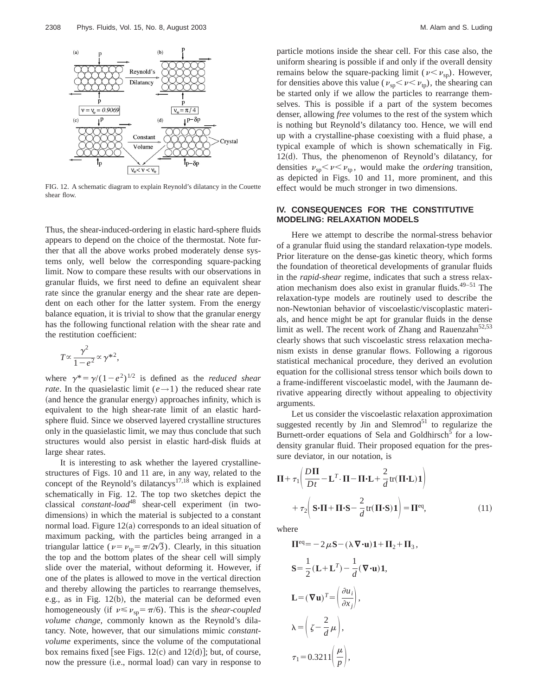

FIG. 12. A schematic diagram to explain Reynold's dilatancy in the Couette shear flow.

Thus, the shear-induced-ordering in elastic hard-sphere fluids appears to depend on the choice of the thermostat. Note further that all the above works probed moderately dense systems only, well below the corresponding square-packing limit. Now to compare these results with our observations in granular fluids, we first need to define an equivalent shear rate since the granular energy and the shear rate are dependent on each other for the latter system. From the energy balance equation, it is trivial to show that the granular energy has the following functional relation with the shear rate and the restitution coefficient:

$$
T \propto \frac{\gamma^2}{1 - e^2} \propto \gamma^{*2},
$$

where  $\gamma^* = \gamma/(1-e^2)^{1/2}$  is defined as the *reduced shear rate*. In the quasielastic limit ( $e \rightarrow 1$ ) the reduced shear rate (and hence the granular energy) approaches infinity, which is equivalent to the high shear-rate limit of an elastic hardsphere fluid. Since we observed layered crystalline structures only in the quasielastic limit, we may thus conclude that such structures would also persist in elastic hard-disk fluids at large shear rates.

It is interesting to ask whether the layered crystallinestructures of Figs. 10 and 11 are, in any way, related to the concept of the Reynold's dilatancys<sup>17,18</sup> which is explained schematically in Fig. 12. The top two sketches depict the classical *constant-load*<sup>48</sup> shear-cell experiment (in twodimensions) in which the material is subjected to a constant normal load. Figure  $12(a)$  corresponds to an ideal situation of maximum packing, with the particles being arranged in a triangular lattice ( $\nu = \nu_{\text{tp}} = \frac{\pi}{2\sqrt{3}}$ ). Clearly, in this situation the top and the bottom plates of the shear cell will simply slide over the material, without deforming it. However, if one of the plates is allowed to move in the vertical direction and thereby allowing the particles to rearrange themselves, e.g., as in Fig.  $12(b)$ , the material can be deformed even homogeneously (if  $v \le v_{sp} = \pi/6$ ). This is the *shear-coupled volume change*, commonly known as the Reynold's dilatancy. Note, however, that our simulations mimic *constantvolume* experiments, since the volume of the computational box remains fixed [see Figs.  $12(c)$  and  $12(d)$ ]; but, of course, now the pressure (i.e., normal load) can vary in response to particle motions inside the shear cell. For this case also, the uniform shearing is possible if and only if the overall density remains below the square-packing limit ( $\nu < \nu_{\rm SD}$ ). However, for densities above this value ( $\nu_{sp} < \nu < \nu_{tp}$ ), the shearing can be started only if we allow the particles to rearrange themselves. This is possible if a part of the system becomes denser, allowing *free* volumes to the rest of the system which is nothing but Reynold's dilatancy too. Hence, we will end up with a crystalline-phase coexisting with a fluid phase, a typical example of which is shown schematically in Fig.  $12(d)$ . Thus, the phenomenon of Reynold's dilatancy, for densities  $\nu_{sp} < \nu < \nu_{tp}$ , would make the *ordering* transition, as depicted in Figs. 10 and 11, more prominent, and this effect would be much stronger in two dimensions.

# **IV. CONSEQUENCES FOR THE CONSTITUTIVE MODELING: RELAXATION MODELS**

Here we attempt to describe the normal-stress behavior of a granular fluid using the standard relaxation-type models. Prior literature on the dense-gas kinetic theory, which forms the foundation of theoretical developments of granular fluids in the *rapid-shear* regime, indicates that such a stress relaxation mechanism does also exist in granular fluids. $49-51$  The relaxation-type models are routinely used to describe the non-Newtonian behavior of viscoelastic/viscoplastic materials, and hence might be apt for granular fluids in the dense limit as well. The recent work of Zhang and Rauenzahn $52,53$ clearly shows that such viscoelastic stress relaxation mechanism exists in dense granular flows. Following a rigorous statistical mechanical procedure, they derived an evolution equation for the collisional stress tensor which boils down to a frame-indifferent viscoelastic model, with the Jaumann derivative appearing directly without appealing to objectivity arguments.

Let us consider the viscoelastic relaxation approximation suggested recently by Jin and Slemrod<sup>51</sup> to regularize the Burnett-order equations of Sela and Goldhirsch<sup>5</sup> for a lowdensity granular fluid. Their proposed equation for the pressure deviator, in our notation, is

$$
\Pi + \tau_1 \left( \frac{D\Pi}{Dt} - \mathbf{L}^T \cdot \mathbf{\Pi} - \mathbf{\Pi} \cdot \mathbf{L} + \frac{2}{d} \text{tr}(\mathbf{\Pi} \cdot \mathbf{L}) \mathbf{1} \right) + \tau_2 \left( \mathbf{S} \cdot \mathbf{\Pi} + \mathbf{\Pi} \cdot \mathbf{S} - \frac{2}{d} \text{tr}(\mathbf{\Pi} \cdot \mathbf{S}) \mathbf{1} \right) = \mathbf{\Pi}^{\text{eq}},
$$
(11)

where

$$
\Pi^{\text{eq}} = -2\mu \mathbf{S} - (\lambda \nabla \cdot \mathbf{u})\mathbf{1} + \Pi_2 + \Pi_3,
$$
  
\n
$$
\mathbf{S} = \frac{1}{2} (\mathbf{L} + \mathbf{L}^T) - \frac{1}{d} (\nabla \cdot \mathbf{u})\mathbf{1},
$$
  
\n
$$
\mathbf{L} = (\nabla \mathbf{u})^T = \left(\frac{\partial u_i}{\partial x_j}\right),
$$
  
\n
$$
\lambda = \left(\zeta - \frac{2}{d}\mu\right),
$$
  
\n
$$
\tau_1 = 0.3211 \left(\frac{\mu}{p}\right),
$$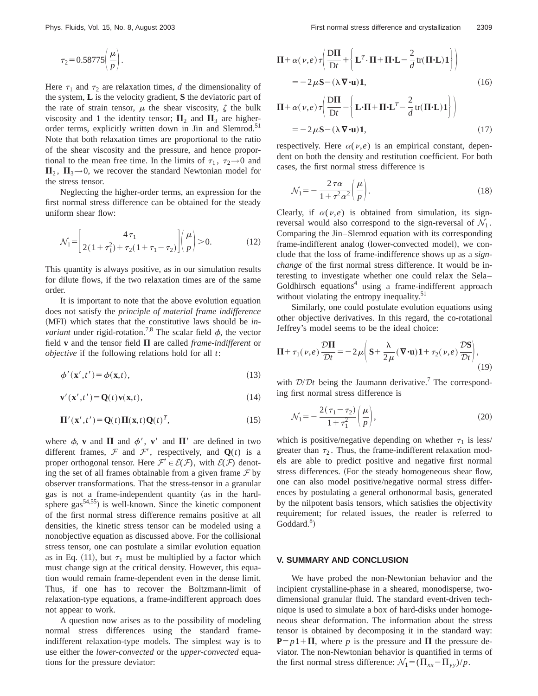$$
\tau_2 = 0.58775 \left(\frac{\mu}{p}\right).
$$

Here  $\tau_1$  and  $\tau_2$  are relaxation times, *d* the dimensionality of the system, **L** is the velocity gradient, **S** the deviatoric part of the rate of strain tensor,  $\mu$  the shear viscosity,  $\zeta$  the bulk viscosity and 1 the identity tensor;  $\Pi_2$  and  $\Pi_3$  are higherorder terms, explicitly written down in Jin and Slemrod.<sup>51</sup> Note that both relaxation times are proportional to the ratio of the shear viscosity and the pressure, and hence proportional to the mean free time. In the limits of  $\tau_1$ ,  $\tau_2 \rightarrow 0$  and  $\Pi_2$ ,  $\Pi_3 \rightarrow 0$ , we recover the standard Newtonian model for the stress tensor.

Neglecting the higher-order terms, an expression for the first normal stress difference can be obtained for the steady uniform shear flow:

$$
\mathcal{N}_1 = \left[ \frac{4 \tau_1}{2(1 + \tau_1^2) + \tau_2(1 + \tau_1 - \tau_2)} \right] \left( \frac{\mu}{p} \right) > 0. \tag{12}
$$

This quantity is always positive, as in our simulation results for dilute flows, if the two relaxation times are of the same order.

It is important to note that the above evolution equation does not satisfy the *principle of material frame indifference* (MFI) which states that the constitutive laws should be *invariant* under rigid-rotation.<sup>7,8</sup> The scalar field  $\phi$ , the vector field  $v$  and the tensor field  $\Pi$  are called *frame-indifferent* or *objective* if the following relations hold for all *t*:

$$
\phi'(\mathbf{x}',t') = \phi(\mathbf{x},t),\tag{13}
$$

$$
\mathbf{v}'(\mathbf{x}',t') = \mathbf{Q}(t)\mathbf{v}(\mathbf{x},t),\tag{14}
$$

$$
\Pi'(\mathbf{x}',t') = \mathbf{Q}(t)\Pi(\mathbf{x},t)\mathbf{Q}(t)^T,
$$
\n(15)

where  $\phi$ , **v** and  $\Pi$  and  $\phi'$ , **v**' and  $\Pi'$  are defined in two different frames,  $\mathcal F$  and  $\mathcal F'$ , respectively, and  $\mathbf Q(t)$  is a proper orthogonal tensor. Here  $\mathcal{F}' \in \mathcal{E}(\mathcal{F})$ , with  $\mathcal{E}(\mathcal{F})$  denoting the set of all frames obtainable from a given frame  $\mathcal F$  by observer transformations. That the stress-tensor in a granular gas is not a frame-independent quantity (as in the hardsphere  $\text{gas}^{54,55}$ ) is well-known. Since the kinetic component of the first normal stress difference remains positive at all densities, the kinetic stress tensor can be modeled using a nonobjective equation as discussed above. For the collisional stress tensor, one can postulate a similar evolution equation as in Eq. (11), but  $\tau_1$  must be multiplied by a factor which must change sign at the critical density. However, this equation would remain frame-dependent even in the dense limit. Thus, if one has to recover the Boltzmann-limit of relaxation-type equations, a frame-indifferent approach does not appear to work.

A question now arises as to the possibility of modeling normal stress differences using the standard frameindifferent relaxation-type models. The simplest way is to use either the *lower-convected* or the *upper-convected* equations for the pressure deviator:

$$
\Pi + \alpha(\nu, e) \tau \left( \frac{D\Pi}{Dt} + \left\{ \mathbf{L}^T \cdot \Pi + \Pi \cdot \mathbf{L} - \frac{2}{d} \text{tr}(\Pi \cdot \mathbf{L}) \mathbf{1} \right\} \right)
$$
  
=  $-2\mu \mathbf{S} - (\lambda \nabla \cdot \mathbf{u}) \mathbf{1},$  (16)

$$
\Pi + \alpha(\nu, e) \tau \left( \frac{\mathbf{D}\Pi}{\mathbf{D}t} - \left\{ \mathbf{L} \cdot \Pi + \Pi \cdot \mathbf{L}^T - \frac{2}{d} \text{tr}(\Pi \cdot \mathbf{L}) \mathbf{1} \right\} \right)
$$
  
=  $-2 \mu \mathbf{S} - (\lambda \nabla \cdot \mathbf{u}) \mathbf{1},$  (17)

respectively. Here  $\alpha(\nu,e)$  is an empirical constant, dependent on both the density and restitution coefficient. For both cases, the first normal stress difference is

$$
\mathcal{N}_1 = -\frac{2\,\tau\alpha}{1 + \tau^2\alpha^2} \bigg(\frac{\mu}{p}\bigg). \tag{18}
$$

Clearly, if  $\alpha(\nu,e)$  is obtained from simulation, its signreversal would also correspond to the sign-reversal of  $\mathcal{N}_1$ . Comparing the Jin–Slemrod equation with its corresponding frame-indifferent analog (lower-convected model), we conclude that the loss of frame-indifference shows up as a *signchange* of the first normal stress difference. It would be interesting to investigate whether one could relax the Sela– Goldhirsch equations<sup>4</sup> using a frame-indifferent approach without violating the entropy inequality.<sup>51</sup>

Similarly, one could postulate evolution equations using other objective derivatives. In this regard, the co-rotational Jeffrey's model seems to be the ideal choice:

$$
\mathbf{\Pi} + \tau_1(\nu, e) \frac{\mathcal{D}\mathbf{\Pi}}{\mathcal{D}t} = -2\mu \bigg( \mathbf{S} + \frac{\lambda}{2\mu} (\nabla \cdot \mathbf{u}) \mathbf{1} + \tau_2(\nu, e) \frac{\mathcal{D}\mathbf{S}}{\mathcal{D}t} \bigg),\tag{19}
$$

with  $D/Dt$  being the Jaumann derivative.<sup>7</sup> The corresponding first normal stress difference is

$$
\mathcal{N}_1 = -\frac{2(\tau_1 - \tau_2)}{1 + \tau_1^2} \left(\frac{\mu}{p}\right),\tag{20}
$$

which is positive/negative depending on whether  $\tau_1$  is less/ greater than  $\tau_2$ . Thus, the frame-indifferent relaxation models are able to predict positive and negative first normal stress differences. (For the steady homogeneous shear flow, one can also model positive/negative normal stress differences by postulating a general orthonormal basis, generated by the nilpotent basis tensors, which satisfies the objectivity requirement; for related issues, the reader is referred to Goddard.<sup>8</sup>)

# **V. SUMMARY AND CONCLUSION**

We have probed the non-Newtonian behavior and the incipient crystalline-phase in a sheared, monodisperse, twodimensional granular fluid. The standard event-driven technique is used to simulate a box of hard-disks under homogeneous shear deformation. The information about the stress tensor is obtained by decomposing it in the standard way:  $P=p1+ \Pi$ , where *p* is the pressure and  $\Pi$  the pressure deviator. The non-Newtonian behavior is quantified in terms of the first normal stress difference:  $\mathcal{N}_1 = (\Pi_{xx} - \Pi_{yy})/p$ .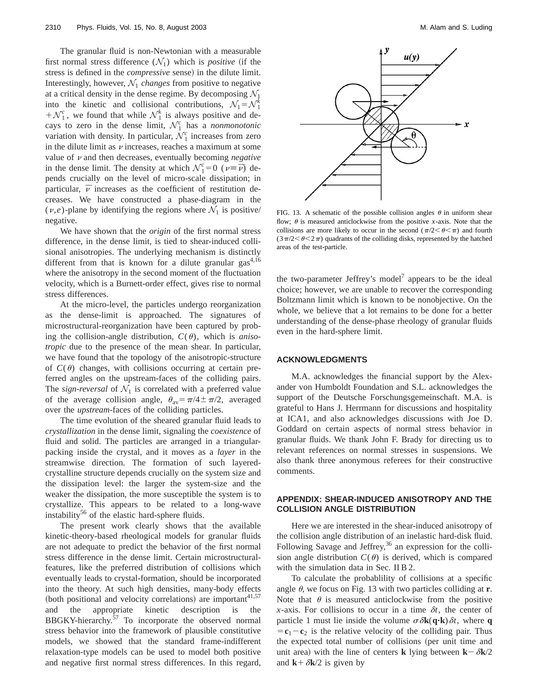The granular fluid is non-Newtonian with a measurable first normal stress difference  $(\mathcal{N}_1)$  which is *positive* (if the stress is defined in the *compressive* sense) in the dilute limit. Interestingly, however,  $\mathcal{N}_1$  *changes* from positive to negative at a critical density in the dense regime. By decomposing  $\mathcal{N}_1$ into the kinetic and collisional contributions,  $\mathcal{N}_1 = \mathcal{N}_1^k$  $+\mathcal{N}_1^c$ , we found that while  $\mathcal{N}_1^k$  is always positive and decays to zero in the dense limit,  $\mathcal{N}_1^c$  has a *nonmonotonic* variation with density. In particular,  $\mathcal{N}_1^c$  increases from zero in the dilute limit as  $\nu$  increases, reaches a maximum at some value of  $\nu$  and then decreases, eventually becoming *negative* in the dense limit. The density at which  $\mathcal{N}_1^c = 0$  ( $\nu \equiv \overline{\nu}$ ) depends crucially on the level of micro-scale dissipation; in particular,  $\bar{\nu}$  increases as the coefficient of restitution decreases. We have constructed a phase-diagram in the  $(v,e)$ -plane by identifying the regions where  $\mathcal{N}_1$  is positive/ negative.

We have shown that the *origin* of the first normal stress difference, in the dense limit, is tied to shear-induced collisional anisotropies. The underlying mechanism is distinctly different from that is known for a dilute granular gas<sup>4,16</sup> where the anisotropy in the second moment of the fluctuation velocity, which is a Burnett-order effect, gives rise to normal stress differences.

At the micro-level, the particles undergo reorganization as the dense-limit is approached. The signatures of microstructural-reorganization have been captured by probing the collision-angle distribution,  $C(\theta)$ , which is *anisotropic* due to the presence of the mean shear. In particular, we have found that the topology of the anisotropic-structure of  $C(\theta)$  changes, with collisions occurring at certain preferred angles on the upstream-faces of the colliding pairs. The *sign-reversal* of  $\mathcal{N}_1$  is correlated with a preferred value of the average collision angle,  $\theta_{av} = \pi/4 \pm \pi/2$ , averaged over the *upstream*-faces of the colliding particles.

The time evolution of the sheared granular fluid leads to *crystallization* in the dense limit, signaling the *coexistence* of fluid and solid. The particles are arranged in a triangularpacking inside the crystal, and it moves as a *layer* in the streamwise direction. The formation of such layeredcrystalline structure depends crucially on the system size and the dissipation level: the larger the system-size and the weaker the dissipation, the more susceptible the system is to crystallize. This appears to be related to a long-wave instability<sup>56</sup> of the elastic hard-sphere fluids.

The present work clearly shows that the available kinetic-theory-based rheological models for granular fluids are not adequate to predict the behavior of the first normal stress difference in the dense limit. Certain microstructuralfeatures, like the preferred distribution of collisions which eventually leads to crystal-formation, should be incorporated into the theory. At such high densities, many-body effects (both positional and velocity correlations) are important $41,57$ and the appropriate kinetic description is the BBGKY-hierarchy.57 To incorporate the observed normal stress behavior into the framework of plausible constitutive models, we showed that the standard frame-indifferent relaxation-type models can be used to model both positive and negative first normal stress differences. In this regard,



FIG. 13. A schematic of the possible collision angles  $\theta$  in uniform shear flow;  $\theta$  is measured anticlockwise from the positive *x*-axis. Note that the collisions are more likely to occur in the second  $(\pi/2 < \theta < \pi)$  and fourth  $(3\pi/2<\theta<2\pi)$  quadrants of the colliding disks, represented by the hatched areas of the test-particle.

the two-parameter Jeffrey's model<sup>7</sup> appears to be the ideal choice; however, we are unable to recover the corresponding Boltzmann limit which is known to be nonobjective. On the whole, we believe that a lot remains to be done for a better understanding of the dense-phase rheology of granular fluids even in the hard-sphere limit.

# **ACKNOWLEDGMENTS**

M.A. acknowledges the financial support by the Alexander von Humboldt Foundation and S.L. acknowledges the support of the Deutsche Forschungsgemeinschaft. M.A. is grateful to Hans J. Herrmann for discussions and hospitality at ICA1, and also acknowledges discussions with Joe D. Goddard on certain aspects of normal stress behavior in granular fluids. We thank John F. Brady for directing us to relevant references on normal stresses in suspensions. We also thank three anonymous referees for their constructive comments.

# **APPENDIX: SHEAR-INDUCED ANISOTROPY AND THE COLLISION ANGLE DISTRIBUTION**

Here we are interested in the shear-induced anisotropy of the collision angle distribution of an inelastic hard-disk fluid. Following Savage and Jeffrey,<sup>36</sup> an expression for the collision angle distribution  $C(\theta)$  is derived, which is compared with the simulation data in Sec. II B 2.

To calculate the probablility of collisions at a specific angle  $\theta$ , we focus on Fig. 13 with two particles colliding at **r**. Note that  $\theta$  is measured anticlockwise from the positive *x*-axis. For collisions to occur in a time  $\delta t$ , the center of particle 1 must lie inside the volume  $\sigma \delta \mathbf{k}(\mathbf{q} \cdot \mathbf{k}) \delta t$ , where **q**  $=\mathbf{c}_1-\mathbf{c}_2$  is the relative velocity of the colliding pair. Thus the expected total number of collisions (per unit time and unit area) with the line of centers **k** lying between  $\mathbf{k} - \delta \mathbf{k}/2$ and  $\mathbf{k} + \delta \mathbf{k}/2$  is given by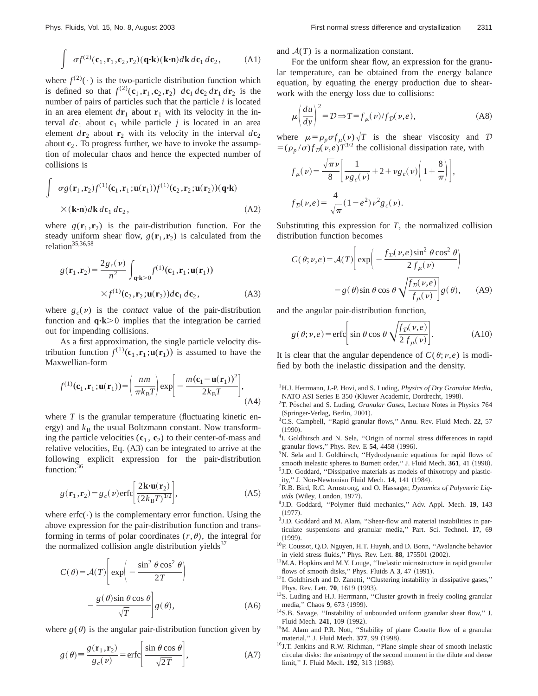$$
\int \sigma f^{(2)}(\mathbf{c}_1, \mathbf{r}_1, \mathbf{c}_2, \mathbf{r}_2) (\mathbf{q} \cdot \mathbf{k}) (\mathbf{k} \cdot \mathbf{n}) d\mathbf{k} d\mathbf{c}_1 d\mathbf{c}_2, \tag{A1}
$$

where  $f^{(2)}(\cdot)$  is the two-particle distribution function which is defined so that  $f^{(2)}(c_1, r_1, c_2, r_2)$   $dc_1 dc_2 dr_1 dr_2$  is the number of pairs of particles such that the particle *i* is located in an area element  $d\mathbf{r}_1$  about  $\mathbf{r}_1$  with its velocity in the interval  $d\mathbf{c}_1$  about  $\mathbf{c}_1$  while particle *j* is located in an area element  $d\mathbf{r}_2$  about  $\mathbf{r}_2$  with its velocity in the interval  $d\mathbf{c}_2$ about **c**<sup>2</sup> . To progress further, we have to invoke the assumption of molecular chaos and hence the expected number of collisions is

$$
\int \sigma g(\mathbf{r}_1, \mathbf{r}_2) f^{(1)}(\mathbf{c}_1, \mathbf{r}_1; \mathbf{u}(\mathbf{r}_1)) f^{(1)}(\mathbf{c}_2, \mathbf{r}_2; \mathbf{u}(\mathbf{r}_2)) (\mathbf{q} \cdot \mathbf{k})
$$
  
×
$$
(\mathbf{k} \cdot \mathbf{n}) d\mathbf{k} d\mathbf{c}_1 d\mathbf{c}_2,
$$
 (A2)

where  $g(\mathbf{r}_1, \mathbf{r}_2)$  is the pair-distribution function. For the steady uniform shear flow,  $g(\mathbf{r}_1, \mathbf{r}_2)$  is calculated from the relation<sup>35,36,58</sup>

$$
g(\mathbf{r}_1, \mathbf{r}_2) = \frac{2g_c(\nu)}{n^2} \int_{\mathbf{q} \cdot \mathbf{k} > 0} f^{(1)}(\mathbf{c}_1, \mathbf{r}_1; \mathbf{u}(\mathbf{r}_1))
$$
  
 
$$
\times f^{(1)}(\mathbf{c}_2, \mathbf{r}_2; \mathbf{u}(\mathbf{r}_2)) d\mathbf{c}_1 d\mathbf{c}_2, \tag{A3}
$$

where  $g_c(v)$  is the *contact* value of the pair-distribution function and  $\mathbf{q} \cdot \mathbf{k} > 0$  implies that the integration be carried out for impending collisions.

As a first approximation, the single particle velocity distribution function  $f^{(1)}(\mathbf{c}_1, \mathbf{r}_1; \mathbf{u}(\mathbf{r}_1))$  is assumed to have the Maxwellian-form

$$
f^{(1)}(\mathbf{c}_1, \mathbf{r}_1; \mathbf{u}(\mathbf{r}_1)) = \left(\frac{nm}{\pi k_B T}\right) \exp\left[-\frac{m(\mathbf{c}_1 - \mathbf{u}(\mathbf{r}_1))^2}{2k_B T}\right],
$$
\n(A4)

where  $T$  is the granular temperature (fluctuating kinetic energy) and  $k_B$  the usual Boltzmann constant. Now transforming the particle velocities  $(c_1, c_2)$  to their center-of-mass and relative velocities, Eq.  $(A3)$  can be integrated to arrive at the following explicit expression for the pair-distribution function:<sup>36</sup>

$$
g(\mathbf{r}_1, \mathbf{r}_2) = g_c(\nu) \text{erfc}\left[\frac{2\mathbf{k} \cdot \mathbf{u}(\mathbf{r}_2)}{(2k_B T)^{1/2}}\right],\tag{A5}
$$

where  $erfc(\cdot)$  is the complementary error function. Using the above expression for the pair-distribution function and transforming in terms of polar coordinates  $(r, \theta)$ , the integral for the normalized collision angle distribution yields $37$ 

$$
C(\theta) = \mathcal{A}(T) \left[ \exp\left(-\frac{\sin^2 \theta \cos^2 \theta}{2T}\right) - \frac{g(\theta)\sin \theta \cos \theta}{\sqrt{T}} \right] g(\theta),
$$
 (A6)

where  $g(\theta)$  is the angular pair-distribution function given by

$$
g(\theta) \equiv \frac{g(\mathbf{r}_1, \mathbf{r}_2)}{g_c(\nu)} = \text{erfc}\left[\frac{\sin \theta \cos \theta}{\sqrt{2T}}\right],\tag{A7}
$$

and  $A(T)$  is a normalization constant.

For the uniform shear flow, an expression for the granular temperature, can be obtained from the energy balance equation, by equating the energy production due to shearwork with the energy loss due to collisions:

$$
\mu \left( \frac{du}{dy} \right)^2 = \mathcal{D} \Rightarrow T = f_{\mu}(\nu) / f_{\mathcal{D}}(\nu, e), \tag{A8}
$$

where  $\mu = \rho_p \sigma f_\mu(\nu) \sqrt{T}$  is the shear viscosity and D  $= (\rho_p / \sigma) f_D(\nu, e) T^{3/2}$  the collisional dissipation rate, with

$$
f_{\mu}(\nu) = \frac{\sqrt{\pi} \nu}{8} \left[ \frac{1}{\nu g_c(\nu)} + 2 + \nu g_c(\nu) \left( 1 + \frac{8}{\pi} \right) \right],
$$
  

$$
f_{\mathcal{D}}(\nu, e) = \frac{4}{\sqrt{\pi}} (1 - e^2) \nu^2 g_c(\nu).
$$

Substituting this expression for *T*, the normalized collision distribution function becomes

$$
C(\theta; \nu, e) = \mathcal{A}(T) \left[ exp \left( -\frac{f_D(\nu, e) sin^2 \theta cos^2 \theta}{2 f_{\mu}(\nu)} \right) - g(\theta) sin \theta cos \theta \sqrt{\frac{f_D(\nu, e)}{f_{\mu}(\nu)}} \right] g(\theta), \quad (A9)
$$

and the angular pair-distribution function,

$$
g(\theta; \nu, e) = \text{erfc}\bigg[\sin \theta \cos \theta \sqrt{\frac{f_{\mathcal{D}}(\nu, e)}{2 f_{\mu}(\nu)}}\bigg].
$$
 (A10)

It is clear that the angular dependence of  $C(\theta; \nu, e)$  is modified by both the inelastic dissipation and the density.

- 1H.J. Herrmann, J.-P. Hovi, and S. Luding, *Physics of Dry Granular Media*, NATO ASI Series E 350 (Kluwer Academic, Dordrecht, 1998).
- <sup>2</sup>T. Pöschel and S. Luding, *Granular Gases*, Lecture Notes in Physics 764 (Springer-Verlag, Berlin, 2001).
- 3C.S. Campbell, ''Rapid granular flows,'' Annu. Rev. Fluid Mech. **22**, 57  $(1990)$
- <sup>4</sup>I. Goldhirsch and N. Sela, "Origin of normal stress differences in rapid granular flows," Phys. Rev. E **54**, 4458 (1996).
- <sup>5</sup>N. Sela and I. Goldhirsch, "Hydrodynamic equations for rapid flows of smooth inelastic spheres to Burnett order," J. Fluid Mech. 361, 41 (1998). <sup>6</sup>J.D. Goddard, "Dissipative materials as models of thixotropy and plasticity," J. Non-Newtonian Fluid Mech. 14, 141 (1984).
- 7R.B. Bird, R.C. Armstrong, and O. Hassager, *Dynamics of Polymeric Liq*uids (Wiley, London, 1977).
- 8J.D. Goddard, ''Polymer fluid mechanics,'' Adv. Appl. Mech. **19**, 143  $(1977).$
- <sup>9</sup>J.D. Goddard and M. Alam, "Shear-flow and material instabilities in particulate suspensions and granular media,'' Part. Sci. Technol. **17**, 69  $(1999).$
- 10P. Coussot, Q.D. Nguyen, H.T. Huynh, and D. Bonn, ''Avalanche behavior in yield stress fluids," Phys. Rev. Lett. **88**, 175501 (2002).
- <sup>11</sup>M.A. Hopkins and M.Y. Louge, "Inelastic microstructure in rapid granular flows of smooth disks," Phys. Fluids  $A$   $3$ ,  $47$   $(1991)$ .
- <sup>12</sup>I. Goldhirsch and D. Zanetti, "Clustering instability in dissipative gases," Phys. Rev. Lett. **70**, 1619 (1993).
- <sup>13</sup>S. Luding and H.J. Herrmann, "Cluster growth in freely cooling granular media," Chaos 9, 673 (1999).
- 14S.B. Savage, ''Instability of unbounded uniform granular shear flow,'' J. Fluid Mech. 241, 109 (1992).
- <sup>15</sup>M. Alam and P.R. Nott, "Stability of plane Couette flow of a granular material," J. Fluid Mech. 377, 99 (1998).
- 16J.T. Jenkins and R.W. Richman, ''Plane simple shear of smooth inelastic circular disks: the anisotropy of the second moment in the dilute and dense limit," J. Fluid Mech. 192, 313 (1988).